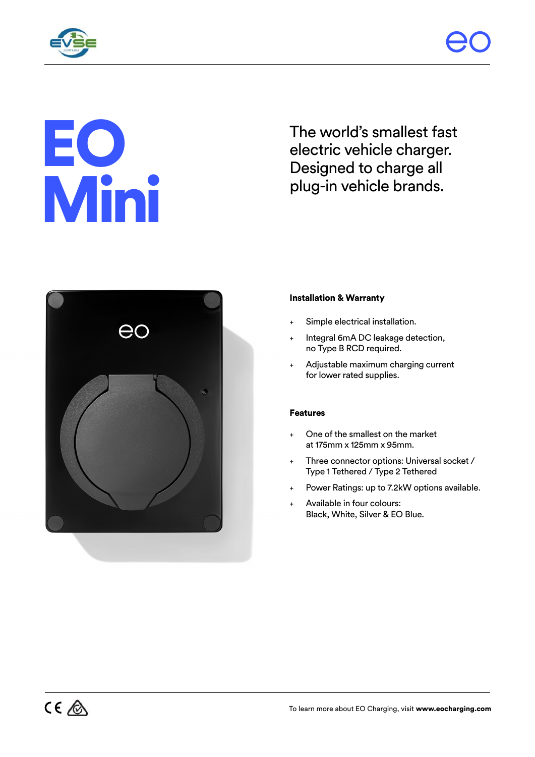

# EO Mini

The world's smallest fast electric vehicle charger. Designed to charge all plug-in vehicle brands.



# Installation & Warranty

- Simple electrical installation.
- Integral 6mA DC leakage detection, no Type B RCD required.
- Adjustable maximum charging current for lower rated supplies.

## Features

- One of the smallest on the market at 175mm x 125mm x 95mm.
- Three connector options: Universal socket / Type 1 Tethered / Type 2 Tethered
- Power Ratings: up to 7.2kW options available.
- Available in four colours: Black, White, Silver & EO Blue.